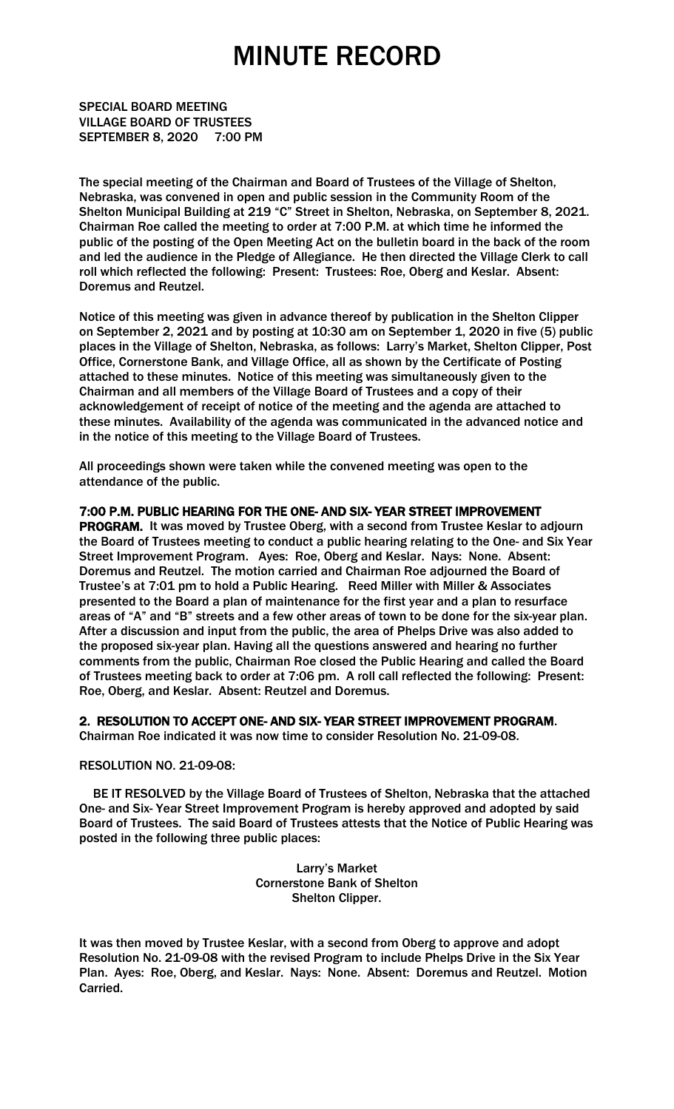## MINUTE RECORD

SPECIAL BOARD MEETING VILLAGE BOARD OF TRUSTEES SEPTEMBER 8, 2020 7:00 PM

The special meeting of the Chairman and Board of Trustees of the Village of Shelton, Nebraska, was convened in open and public session in the Community Room of the Shelton Municipal Building at 219 "C" Street in Shelton, Nebraska, on September 8, 2021. Chairman Roe called the meeting to order at 7:00 P.M. at which time he informed the public of the posting of the Open Meeting Act on the bulletin board in the back of the room and led the audience in the Pledge of Allegiance. He then directed the Village Clerk to call roll which reflected the following: Present: Trustees: Roe, Oberg and Keslar. Absent: Doremus and Reutzel.

Notice of this meeting was given in advance thereof by publication in the Shelton Clipper on September 2, 2021 and by posting at 10:30 am on September 1, 2020 in five (5) public places in the Village of Shelton, Nebraska, as follows: Larry's Market, Shelton Clipper, Post Office, Cornerstone Bank, and Village Office, all as shown by the Certificate of Posting attached to these minutes. Notice of this meeting was simultaneously given to the Chairman and all members of the Village Board of Trustees and a copy of their acknowledgement of receipt of notice of the meeting and the agenda are attached to these minutes. Availability of the agenda was communicated in the advanced notice and in the notice of this meeting to the Village Board of Trustees.

All proceedings shown were taken while the convened meeting was open to the attendance of the public.

7:00 P.M. PUBLIC HEARING FOR THE ONE- AND SIX- YEAR STREET IMPROVEMENT PROGRAM. It was moved by Trustee Oberg, with a second from Trustee Keslar to adjourn the Board of Trustees meeting to conduct a public hearing relating to the One- and Six Year Street Improvement Program. Ayes: Roe, Oberg and Keslar. Nays: None. Absent: Doremus and Reutzel. The motion carried and Chairman Roe adjourned the Board of Trustee's at 7:01 pm to hold a Public Hearing. Reed Miller with Miller & Associates presented to the Board a plan of maintenance for the first year and a plan to resurface areas of "A" and "B" streets and a few other areas of town to be done for the six-year plan. After a discussion and input from the public, the area of Phelps Drive was also added to the proposed six-year plan. Having all the questions answered and hearing no further comments from the public, Chairman Roe closed the Public Hearing and called the Board of Trustees meeting back to order at 7:06 pm. A roll call reflected the following: Present: Roe, Oberg, and Keslar. Absent: Reutzel and Doremus.

### 2. RESOLUTION TO ACCEPT ONE- AND SIX- YEAR STREET IMPROVEMENT PROGRAM.

Chairman Roe indicated it was now time to consider Resolution No. 21-09-08.

#### RESOLUTION NO. 21-09-08:

 BE IT RESOLVED by the Village Board of Trustees of Shelton, Nebraska that the attached One- and Six- Year Street Improvement Program is hereby approved and adopted by said Board of Trustees. The said Board of Trustees attests that the Notice of Public Hearing was posted in the following three public places:

> Larry's Market Cornerstone Bank of Shelton Shelton Clipper.

It was then moved by Trustee Keslar, with a second from Oberg to approve and adopt Resolution No. 21-09-08 with the revised Program to include Phelps Drive in the Six Year Plan. Ayes: Roe, Oberg, and Keslar. Nays: None. Absent: Doremus and Reutzel. Motion Carried.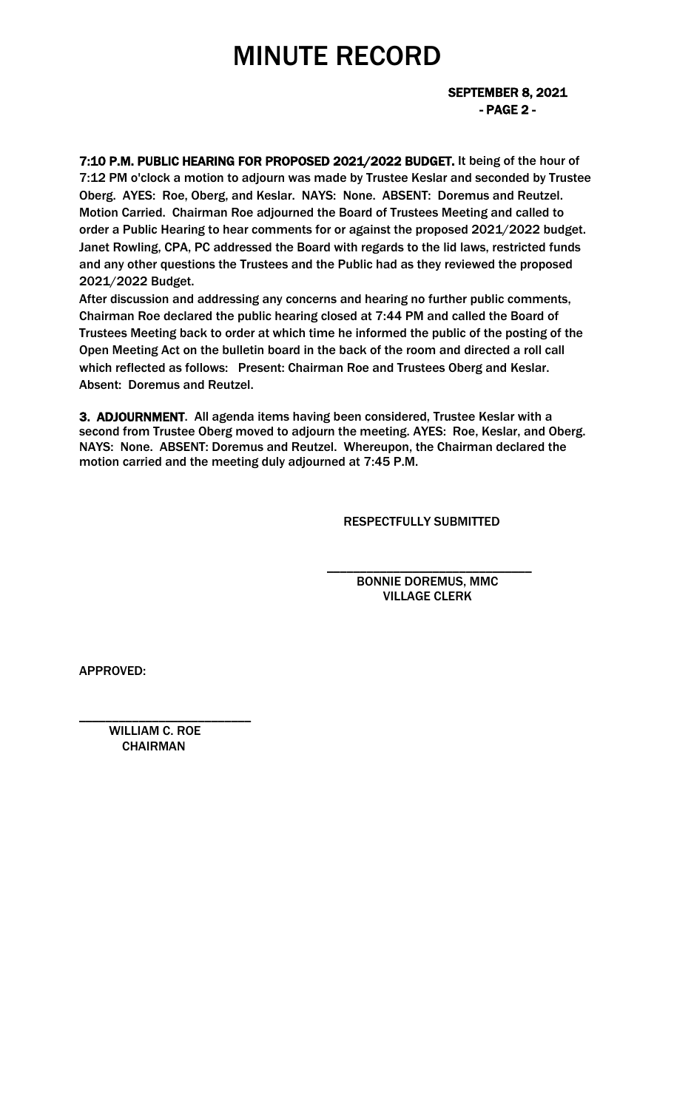# MINUTE RECORD

 SEPTEMBER 8, 2021 - PAGE 2 -

7:10 P.M. PUBLIC HEARING FOR PROPOSED 2021/2022 BUDGET. It being of the hour of 7:12 PM o'clock a motion to adjourn was made by Trustee Keslar and seconded by Trustee Oberg. AYES: Roe, Oberg, and Keslar. NAYS: None. ABSENT: Doremus and Reutzel. Motion Carried. Chairman Roe adjourned the Board of Trustees Meeting and called to order a Public Hearing to hear comments for or against the proposed 2021/2022 budget. Janet Rowling, CPA, PC addressed the Board with regards to the lid laws, restricted funds and any other questions the Trustees and the Public had as they reviewed the proposed 2021/2022 Budget.

After discussion and addressing any concerns and hearing no further public comments, Chairman Roe declared the public hearing closed at 7:44 PM and called the Board of Trustees Meeting back to order at which time he informed the public of the posting of the Open Meeting Act on the bulletin board in the back of the room and directed a roll call which reflected as follows: Present: Chairman Roe and Trustees Oberg and Keslar. Absent: Doremus and Reutzel.

3. ADJOURNMENT. All agenda items having been considered, Trustee Keslar with a second from Trustee Oberg moved to adjourn the meeting. AYES: Roe, Keslar, and Oberg. NAYS: None. ABSENT: Doremus and Reutzel. Whereupon, the Chairman declared the motion carried and the meeting duly adjourned at 7:45 P.M.

 $\overline{\phantom{a}}$  , and the contract of the contract of the contract of the contract of the contract of the contract of the contract of the contract of the contract of the contract of the contract of the contract of the contrac

RESPECTFULLY SUBMITTED

 BONNIE DOREMUS, MMC VILLAGE CLERK

APPROVED:

 WILLIAM C. ROE **CHAIRMAN** 

\_\_\_\_\_\_\_\_\_\_\_\_\_\_\_\_\_\_\_\_\_\_\_\_\_\_